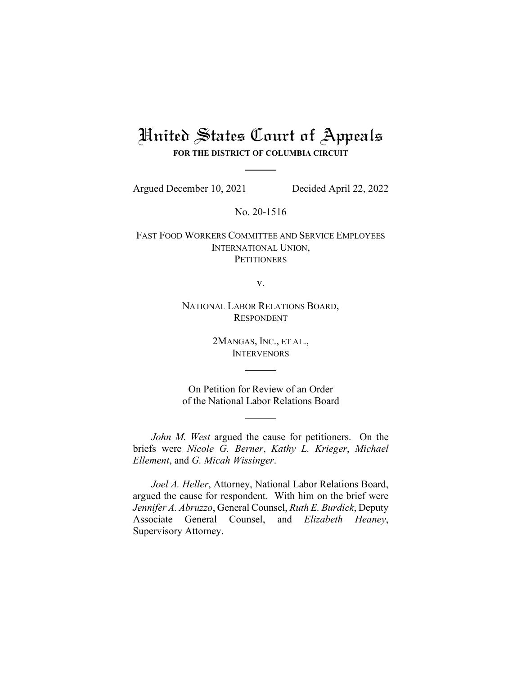## United States Court of Appeals **FOR THE DISTRICT OF COLUMBIA CIRCUIT**

Argued December 10, 2021 Decided April 22, 2022

No. 20-1516

FAST FOOD WORKERS COMMITTEE AND SERVICE EMPLOYEES INTERNATIONAL UNION, **PETITIONERS** 

v.

NATIONAL LABOR RELATIONS BOARD, RESPONDENT

> 2MANGAS, INC., ET AL., **INTERVENORS**

On Petition for Review of an Order of the National Labor Relations Board

*John M. West* argued the cause for petitioners. On the briefs were *Nicole G. Berner*, *Kathy L. Krieger*, *Michael Ellement*, and *G. Micah Wissinger*.

*Joel A. Heller*, Attorney, National Labor Relations Board, argued the cause for respondent. With him on the brief were *Jennifer A. Abruzzo*, General Counsel, *Ruth E. Burdick*, Deputy Associate General Counsel, and *Elizabeth Heaney*, Supervisory Attorney.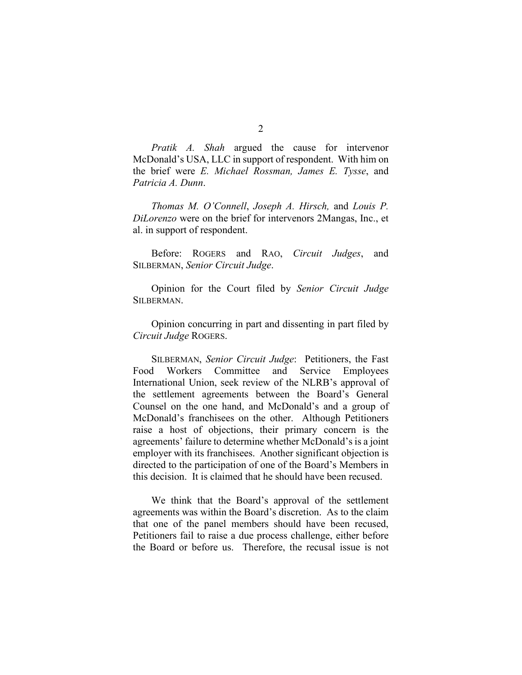*Pratik A. Shah* argued the cause for intervenor McDonald's USA, LLC in support of respondent. With him on the brief were *E. Michael Rossman, James E. Tysse*, and *Patricia A. Dunn*.

*Thomas M. O'Connell*, *Joseph A. Hirsch,* and *Louis P. DiLorenzo* were on the brief for intervenors 2Mangas, Inc., et al. in support of respondent.

Before: ROGERS and RAO, *Circuit Judges*, and SILBERMAN, *Senior Circuit Judge*.

Opinion for the Court filed by *Senior Circuit Judge* SILBERMAN.

Opinion concurring in part and dissenting in part filed by *Circuit Judge* ROGERS.

SILBERMAN, *Senior Circuit Judge*: Petitioners, the Fast Food Workers Committee and Service Employees International Union, seek review of the NLRB's approval of the settlement agreements between the Board's General Counsel on the one hand, and McDonald's and a group of McDonald's franchisees on the other. Although Petitioners raise a host of objections, their primary concern is the agreements' failure to determine whether McDonald's is a joint employer with its franchisees. Another significant objection is directed to the participation of one of the Board's Members in this decision. It is claimed that he should have been recused.

We think that the Board's approval of the settlement agreements was within the Board's discretion. As to the claim that one of the panel members should have been recused, Petitioners fail to raise a due process challenge, either before the Board or before us. Therefore, the recusal issue is not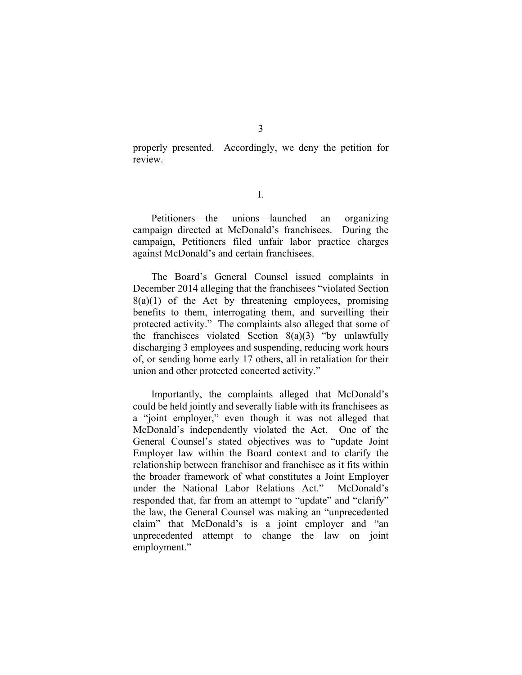properly presented. Accordingly, we deny the petition for review.

I.

Petitioners—the unions—launched an organizing campaign directed at McDonald's franchisees. During the campaign, Petitioners filed unfair labor practice charges against McDonald's and certain franchisees.

The Board's General Counsel issued complaints in December 2014 alleging that the franchisees "violated Section  $8(a)(1)$  of the Act by threatening employees, promising benefits to them, interrogating them, and surveilling their protected activity." The complaints also alleged that some of the franchisees violated Section  $8(a)(3)$  "by unlawfully discharging 3 employees and suspending, reducing work hours of, or sending home early 17 others, all in retaliation for their union and other protected concerted activity."

Importantly, the complaints alleged that McDonald's could be held jointly and severally liable with its franchisees as a "joint employer," even though it was not alleged that McDonald's independently violated the Act. One of the General Counsel's stated objectives was to "update Joint Employer law within the Board context and to clarify the relationship between franchisor and franchisee as it fits within the broader framework of what constitutes a Joint Employer under the National Labor Relations Act." McDonald's responded that, far from an attempt to "update" and "clarify" the law, the General Counsel was making an "unprecedented claim" that McDonald's is a joint employer and "an unprecedented attempt to change the law on joint employment."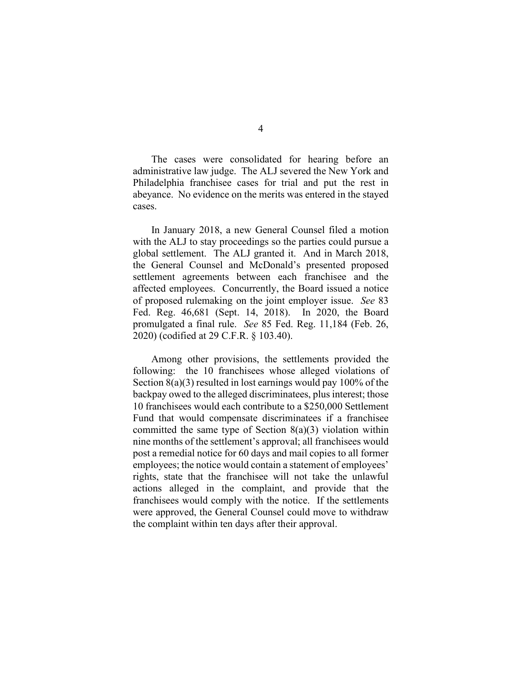The cases were consolidated for hearing before an administrative law judge. The ALJ severed the New York and Philadelphia franchisee cases for trial and put the rest in abeyance. No evidence on the merits was entered in the stayed cases.

In January 2018, a new General Counsel filed a motion with the ALJ to stay proceedings so the parties could pursue a global settlement. The ALJ granted it. And in March 2018, the General Counsel and McDonald's presented proposed settlement agreements between each franchisee and the affected employees. Concurrently, the Board issued a notice of proposed rulemaking on the joint employer issue. *See* 83 Fed. Reg. 46,681 (Sept. 14, 2018). In 2020, the Board promulgated a final rule. *See* 85 Fed. Reg. 11,184 (Feb. 26, 2020) (codified at 29 C.F.R. § 103.40).

Among other provisions, the settlements provided the following: the 10 franchisees whose alleged violations of Section 8(a)(3) resulted in lost earnings would pay 100% of the backpay owed to the alleged discriminatees, plus interest; those 10 franchisees would each contribute to a \$250,000 Settlement Fund that would compensate discriminatees if a franchisee committed the same type of Section 8(a)(3) violation within nine months of the settlement's approval; all franchisees would post a remedial notice for 60 days and mail copies to all former employees; the notice would contain a statement of employees' rights, state that the franchisee will not take the unlawful actions alleged in the complaint, and provide that the franchisees would comply with the notice. If the settlements were approved, the General Counsel could move to withdraw the complaint within ten days after their approval.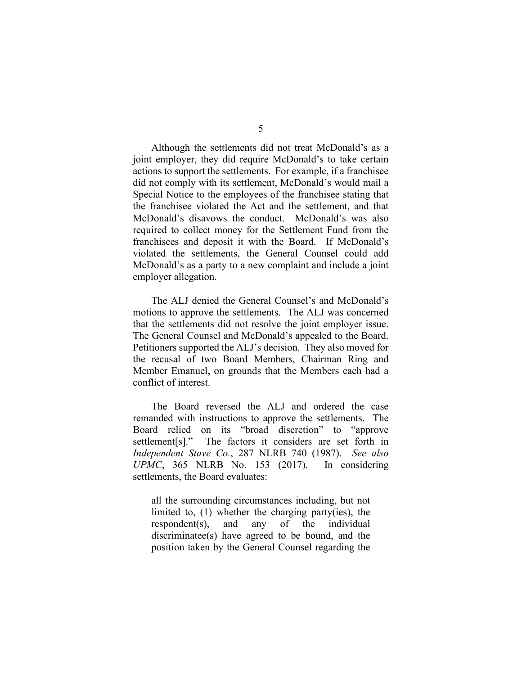Although the settlements did not treat McDonald's as a joint employer, they did require McDonald's to take certain actions to support the settlements. For example, if a franchisee did not comply with its settlement, McDonald's would mail a Special Notice to the employees of the franchisee stating that the franchisee violated the Act and the settlement, and that McDonald's disavows the conduct. McDonald's was also required to collect money for the Settlement Fund from the franchisees and deposit it with the Board. If McDonald's violated the settlements, the General Counsel could add McDonald's as a party to a new complaint and include a joint employer allegation.

The ALJ denied the General Counsel's and McDonald's motions to approve the settlements. The ALJ was concerned that the settlements did not resolve the joint employer issue. The General Counsel and McDonald's appealed to the Board. Petitioners supported the ALJ's decision. They also moved for the recusal of two Board Members, Chairman Ring and Member Emanuel, on grounds that the Members each had a conflict of interest.

The Board reversed the ALJ and ordered the case remanded with instructions to approve the settlements. The Board relied on its "broad discretion" to "approve settlement[s]." The factors it considers are set forth in *Independent Stave Co.*, 287 NLRB 740 (1987). *See also UPMC*, 365 NLRB No. 153 (2017). In considering settlements, the Board evaluates:

all the surrounding circumstances including, but not limited to, (1) whether the charging party(ies), the respondent(s), and any of the individual discriminatee(s) have agreed to be bound, and the position taken by the General Counsel regarding the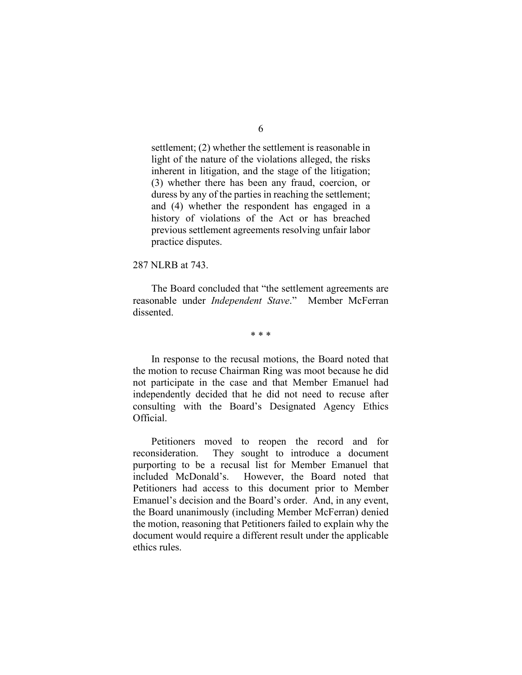settlement; (2) whether the settlement is reasonable in light of the nature of the violations alleged, the risks inherent in litigation, and the stage of the litigation; (3) whether there has been any fraud, coercion, or duress by any of the parties in reaching the settlement; and (4) whether the respondent has engaged in a history of violations of the Act or has breached previous settlement agreements resolving unfair labor practice disputes.

## 287 NLRB at 743.

The Board concluded that "the settlement agreements are reasonable under *Independent Stave*." Member McFerran dissented.

\* \* \*

In response to the recusal motions, the Board noted that the motion to recuse Chairman Ring was moot because he did not participate in the case and that Member Emanuel had independently decided that he did not need to recuse after consulting with the Board's Designated Agency Ethics Official.

Petitioners moved to reopen the record and for reconsideration. They sought to introduce a document purporting to be a recusal list for Member Emanuel that included McDonald's. However, the Board noted that Petitioners had access to this document prior to Member Emanuel's decision and the Board's order. And, in any event, the Board unanimously (including Member McFerran) denied the motion, reasoning that Petitioners failed to explain why the document would require a different result under the applicable ethics rules.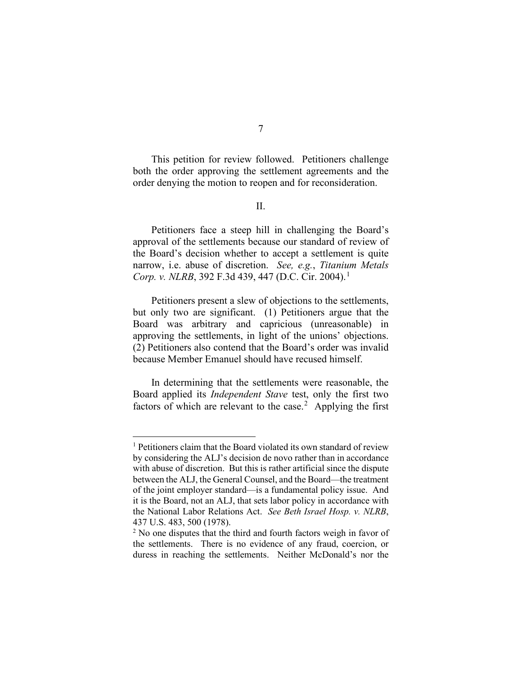This petition for review followed. Petitioners challenge both the order approving the settlement agreements and the order denying the motion to reopen and for reconsideration.

## II.

Petitioners face a steep hill in challenging the Board's approval of the settlements because our standard of review of the Board's decision whether to accept a settlement is quite narrow, i.e. abuse of discretion. *See, e.g.*, *Titanium Metals Corp. v. NLRB*, 392 F.3d 439, 447 (D.C. Cir. 2004).<sup>[1](#page-6-0)</sup>

Petitioners present a slew of objections to the settlements, but only two are significant. (1) Petitioners argue that the Board was arbitrary and capricious (unreasonable) in approving the settlements, in light of the unions' objections. (2) Petitioners also contend that the Board's order was invalid because Member Emanuel should have recused himself.

In determining that the settlements were reasonable, the Board applied its *Independent Stave* test, only the first two factors of which are relevant to the case.<sup>[2](#page-6-1)</sup> Applying the first

<span id="page-6-0"></span><sup>&</sup>lt;sup>1</sup> Petitioners claim that the Board violated its own standard of review by considering the ALJ's decision de novo rather than in accordance with abuse of discretion. But this is rather artificial since the dispute between the ALJ, the General Counsel, and the Board—the treatment of the joint employer standard—is a fundamental policy issue. And it is the Board, not an ALJ, that sets labor policy in accordance with the National Labor Relations Act. *See Beth Israel Hosp. v. NLRB*, 437 U.S. 483, 500 (1978).

<span id="page-6-1"></span><sup>&</sup>lt;sup>2</sup> No one disputes that the third and fourth factors weigh in favor of the settlements. There is no evidence of any fraud, coercion, or duress in reaching the settlements. Neither McDonald's nor the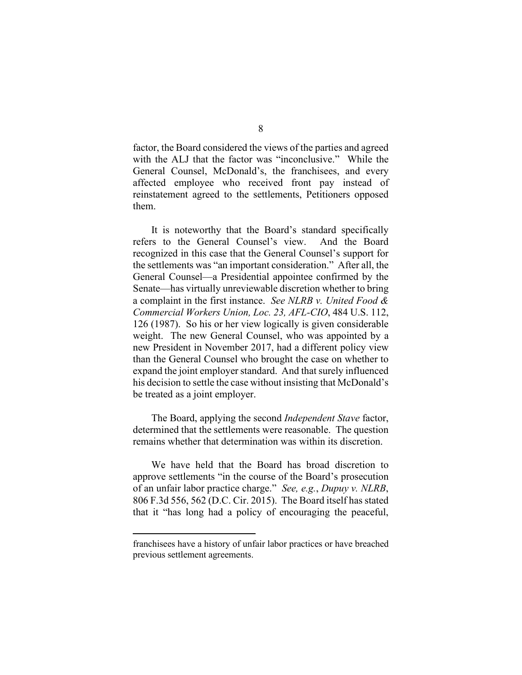factor, the Board considered the views of the parties and agreed with the ALJ that the factor was "inconclusive." While the General Counsel, McDonald's, the franchisees, and every affected employee who received front pay instead of reinstatement agreed to the settlements, Petitioners opposed them.

It is noteworthy that the Board's standard specifically refers to the General Counsel's view. And the Board recognized in this case that the General Counsel's support for the settlements was "an important consideration." After all, the General Counsel—a Presidential appointee confirmed by the Senate—has virtually unreviewable discretion whether to bring a complaint in the first instance. *See NLRB v. United Food & Commercial Workers Union, Loc. 23, AFL-CIO*, 484 U.S. 112, 126 (1987). So his or her view logically is given considerable weight. The new General Counsel, who was appointed by a new President in November 2017, had a different policy view than the General Counsel who brought the case on whether to expand the joint employer standard. And that surely influenced his decision to settle the case without insisting that McDonald's be treated as a joint employer.

The Board, applying the second *Independent Stave* factor, determined that the settlements were reasonable. The question remains whether that determination was within its discretion.

We have held that the Board has broad discretion to approve settlements "in the course of the Board's prosecution of an unfair labor practice charge." *See, e.g.*, *Dupuy v. NLRB*, 806 F.3d 556, 562 (D.C. Cir. 2015). The Board itself has stated that it "has long had a policy of encouraging the peaceful,

franchisees have a history of unfair labor practices or have breached previous settlement agreements.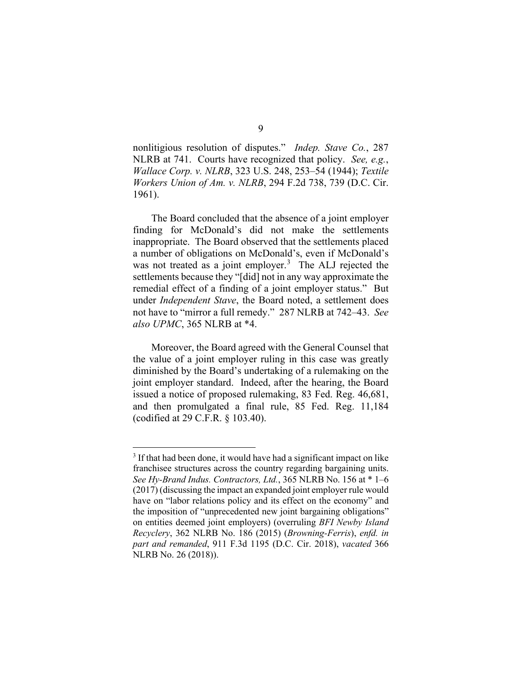nonlitigious resolution of disputes." *Indep. Stave Co.*, 287 NLRB at 741. Courts have recognized that policy. *See, e.g.*, *Wallace Corp. v. NLRB*, 323 U.S. 248, 253–54 (1944); *Textile Workers Union of Am. v. NLRB*, 294 F.2d 738, 739 (D.C. Cir. 1961).

The Board concluded that the absence of a joint employer finding for McDonald's did not make the settlements inappropriate. The Board observed that the settlements placed a number of obligations on McDonald's, even if McDonald's was not treated as a joint employer.<sup>[3](#page-8-0)</sup> The ALJ rejected the settlements because they "[did] not in any way approximate the remedial effect of a finding of a joint employer status." But under *Independent Stave*, the Board noted, a settlement does not have to "mirror a full remedy." 287 NLRB at 742–43. *See also UPMC*, 365 NLRB at \*4.

Moreover, the Board agreed with the General Counsel that the value of a joint employer ruling in this case was greatly diminished by the Board's undertaking of a rulemaking on the joint employer standard. Indeed, after the hearing, the Board issued a notice of proposed rulemaking, 83 Fed. Reg. 46,681, and then promulgated a final rule, 85 Fed. Reg. 11,184 (codified at 29 C.F.R. § 103.40).

<span id="page-8-0"></span><sup>&</sup>lt;sup>3</sup> If that had been done, it would have had a significant impact on like franchisee structures across the country regarding bargaining units. *See Hy-Brand Indus. Contractors, Ltd.*, 365 NLRB No. 156 at \* 1–6 (2017) (discussing the impact an expanded joint employer rule would have on "labor relations policy and its effect on the economy" and the imposition of "unprecedented new joint bargaining obligations" on entities deemed joint employers) (overruling *BFI Newby Island Recyclery*, 362 NLRB No. 186 (2015) (*Browning-Ferris*), *enfd. in part and remanded*, 911 F.3d 1195 (D.C. Cir. 2018), *vacated* 366 NLRB No. 26 (2018)).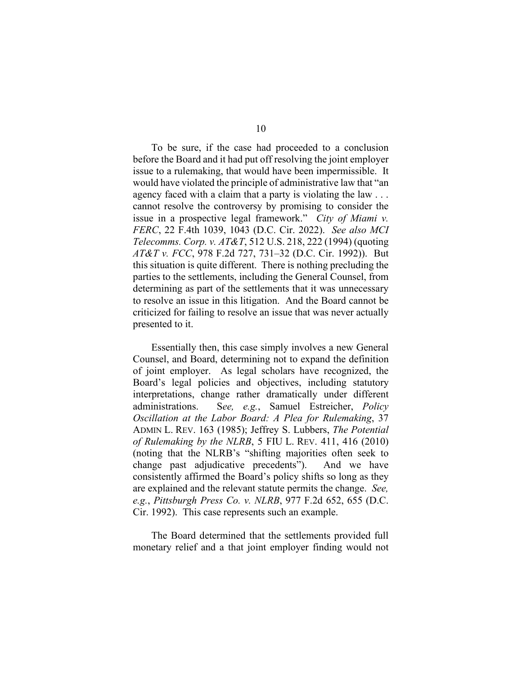To be sure, if the case had proceeded to a conclusion before the Board and it had put off resolving the joint employer issue to a rulemaking, that would have been impermissible. It would have violated the principle of administrative law that "an agency faced with a claim that a party is violating the law . . . cannot resolve the controversy by promising to consider the issue in a prospective legal framework." *City of Miami v. FERC*, 22 F.4th 1039, 1043 (D.C. Cir. 2022). *See also MCI Telecomms. Corp. v. AT&T*, 512 U.S. 218, 222 (1994) (quoting *AT&T v. FCC*, 978 F.2d 727, 731–32 (D.C. Cir. 1992)). But this situation is quite different. There is nothing precluding the parties to the settlements, including the General Counsel, from determining as part of the settlements that it was unnecessary to resolve an issue in this litigation. And the Board cannot be criticized for failing to resolve an issue that was never actually presented to it.

Essentially then, this case simply involves a new General Counsel, and Board, determining not to expand the definition of joint employer. As legal scholars have recognized, the Board's legal policies and objectives, including statutory interpretations, change rather dramatically under different administrations. S*ee, e.g.*, Samuel Estreicher, *Policy Oscillation at the Labor Board: A Plea for Rulemaking*, 37 ADMIN L. REV. 163 (1985); Jeffrey S. Lubbers, *The Potential of Rulemaking by the NLRB*, 5 FIU L. REV. 411, 416 (2010) (noting that the NLRB's "shifting majorities often seek to change past adjudicative precedents"). And we have consistently affirmed the Board's policy shifts so long as they are explained and the relevant statute permits the change. *See, e.g.*, *Pittsburgh Press Co. v. NLRB*, 977 F.2d 652, 655 (D.C. Cir. 1992). This case represents such an example.

The Board determined that the settlements provided full monetary relief and a that joint employer finding would not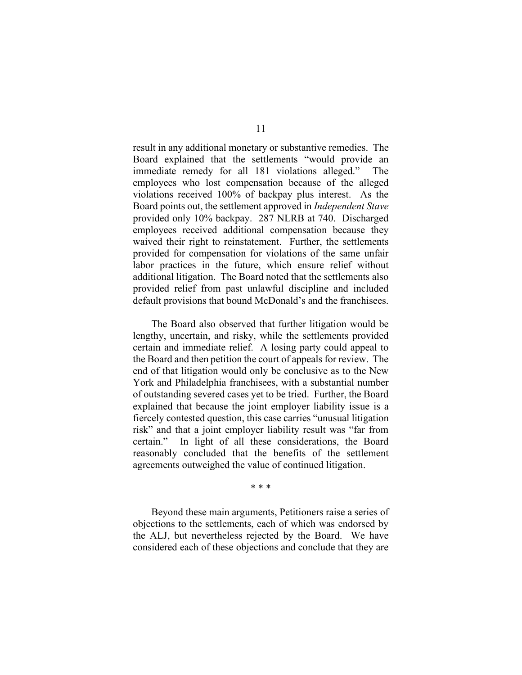result in any additional monetary or substantive remedies. The Board explained that the settlements "would provide an immediate remedy for all 181 violations alleged." The employees who lost compensation because of the alleged violations received 100% of backpay plus interest. As the Board points out, the settlement approved in *Independent Stave* provided only 10% backpay. 287 NLRB at 740. Discharged employees received additional compensation because they waived their right to reinstatement. Further, the settlements provided for compensation for violations of the same unfair labor practices in the future, which ensure relief without additional litigation. The Board noted that the settlements also provided relief from past unlawful discipline and included default provisions that bound McDonald's and the franchisees.

The Board also observed that further litigation would be lengthy, uncertain, and risky, while the settlements provided certain and immediate relief. A losing party could appeal to the Board and then petition the court of appeals for review. The end of that litigation would only be conclusive as to the New York and Philadelphia franchisees, with a substantial number of outstanding severed cases yet to be tried. Further, the Board explained that because the joint employer liability issue is a fiercely contested question, this case carries "unusual litigation risk" and that a joint employer liability result was "far from certain." In light of all these considerations, the Board reasonably concluded that the benefits of the settlement agreements outweighed the value of continued litigation.

\* \* \*

Beyond these main arguments, Petitioners raise a series of objections to the settlements, each of which was endorsed by the ALJ, but nevertheless rejected by the Board. We have considered each of these objections and conclude that they are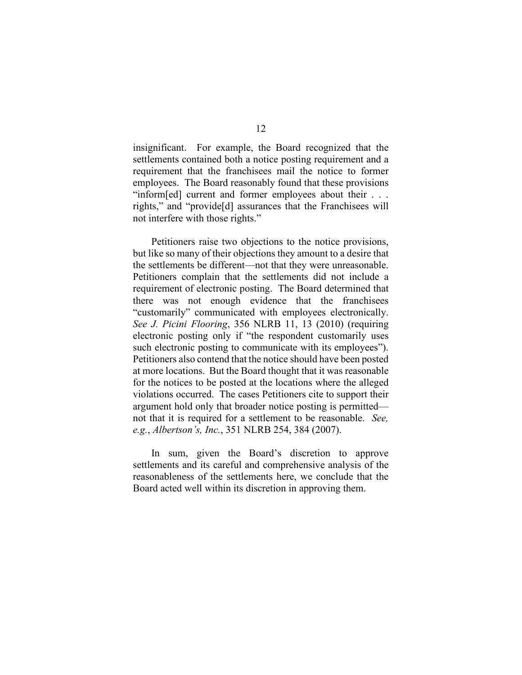insignificant. For example, the Board recognized that the settlements contained both a notice posting requirement and a requirement that the franchisees mail the notice to former employees. The Board reasonably found that these provisions "inform[ed] current and former employees about their . . . rights," and "provide[d] assurances that the Franchisees will not interfere with those rights."

Petitioners raise two objections to the notice provisions, but like so many of their objections they amount to a desire that the settlements be different—not that they were unreasonable. Petitioners complain that the settlements did not include a requirement of electronic posting. The Board determined that there was not enough evidence that the franchisees "customarily" communicated with employees electronically. *See J. Picini Flooring*, 356 NLRB 11, 13 (2010) (requiring electronic posting only if "the respondent customarily uses such electronic posting to communicate with its employees"). Petitioners also contend that the notice should have been posted at more locations. But the Board thought that it was reasonable for the notices to be posted at the locations where the alleged violations occurred. The cases Petitioners cite to support their argument hold only that broader notice posting is permitted not that it is required for a settlement to be reasonable. *See, e.g.*, *Albertson's, Inc.*, 351 NLRB 254, 384 (2007).

In sum, given the Board's discretion to approve settlements and its careful and comprehensive analysis of the reasonableness of the settlements here, we conclude that the Board acted well within its discretion in approving them.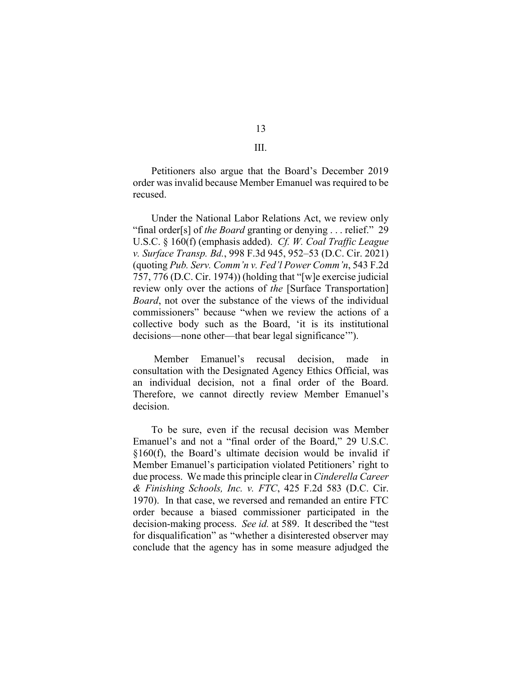Petitioners also argue that the Board's December 2019 order was invalid because Member Emanuel was required to be recused.

Under the National Labor Relations Act, we review only "final order[s] of *the Board* granting or denying . . . relief." 29 U.S.C. § 160(f) (emphasis added). *Cf. W. Coal Traffic League v. Surface Transp. Bd.*, 998 F.3d 945, 952–53 (D.C. Cir. 2021) (quoting *Pub. Serv. Comm'n v. Fed'l Power Comm'n*, 543 F.2d 757, 776 (D.C. Cir. 1974)) (holding that "[w]e exercise judicial review only over the actions of *the* [Surface Transportation] *Board*, not over the substance of the views of the individual commissioners" because "when we review the actions of a collective body such as the Board, 'it is its institutional decisions—none other—that bear legal significance'").

Member Emanuel's recusal decision, made in consultation with the Designated Agency Ethics Official, was an individual decision, not a final order of the Board. Therefore, we cannot directly review Member Emanuel's decision.

To be sure, even if the recusal decision was Member Emanuel's and not a "final order of the Board," 29 U.S.C. §160(f), the Board's ultimate decision would be invalid if Member Emanuel's participation violated Petitioners' right to due process. We made this principle clear in *Cinderella Career & Finishing Schools, Inc. v. FTC*, 425 F.2d 583 (D.C. Cir. 1970). In that case, we reversed and remanded an entire FTC order because a biased commissioner participated in the decision-making process. *See id.* at 589. It described the "test for disqualification" as "whether a disinterested observer may conclude that the agency has in some measure adjudged the

13 III.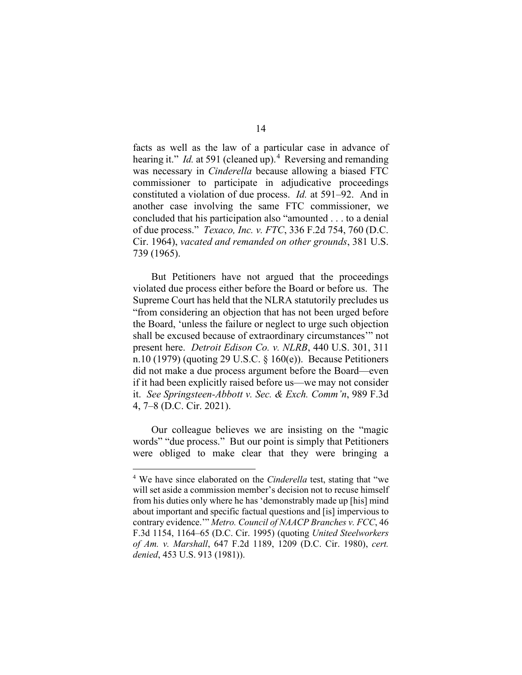facts as well as the law of a particular case in advance of hearing it." *Id.* at 591 (cleaned up).<sup>[4](#page-13-0)</sup> Reversing and remanding was necessary in *Cinderella* because allowing a biased FTC commissioner to participate in adjudicative proceedings constituted a violation of due process. *Id.* at 591–92. And in another case involving the same FTC commissioner, we concluded that his participation also "amounted . . . to a denial of due process." *Texaco, Inc. v. FTC*, 336 F.2d 754, 760 (D.C. Cir. 1964), *vacated and remanded on other grounds*, 381 U.S. 739 (1965).

But Petitioners have not argued that the proceedings violated due process either before the Board or before us. The Supreme Court has held that the NLRA statutorily precludes us "from considering an objection that has not been urged before the Board, 'unless the failure or neglect to urge such objection shall be excused because of extraordinary circumstances'" not present here. *Detroit Edison Co. v. NLRB*, 440 U.S. 301, 311 n.10 (1979) (quoting 29 U.S.C. § 160(e)). Because Petitioners did not make a due process argument before the Board—even if it had been explicitly raised before us—we may not consider it. *See Springsteen-Abbott v. Sec. & Exch. Comm'n*, 989 F.3d 4, 7–8 (D.C. Cir. 2021).

Our colleague believes we are insisting on the "magic words" "due process." But our point is simply that Petitioners were obliged to make clear that they were bringing a

<span id="page-13-0"></span><sup>4</sup> We have since elaborated on the *Cinderella* test, stating that "we will set aside a commission member's decision not to recuse himself from his duties only where he has 'demonstrably made up [his] mind about important and specific factual questions and [is] impervious to contrary evidence.'" *Metro. Council of NAACP Branches v. FCC*, 46 F.3d 1154, 1164–65 (D.C. Cir. 1995) (quoting *United Steelworkers of Am. v. Marshall*, 647 F.2d 1189, 1209 (D.C. Cir. 1980), *cert. denied*, 453 U.S. 913 (1981)).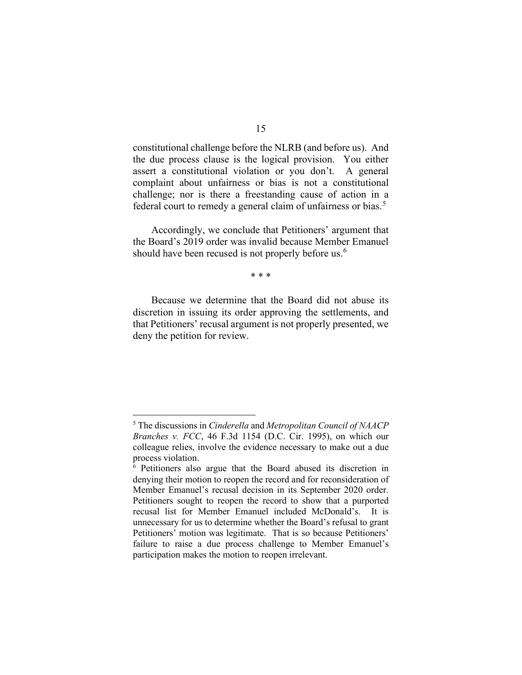constitutional challenge before the NLRB (and before us). And the due process clause is the logical provision. You either assert a constitutional violation or you don't. A general complaint about unfairness or bias is not a constitutional challenge; nor is there a freestanding cause of action in a federal court to remedy a general claim of unfairness or bias.<sup>[5](#page-14-0)</sup>

Accordingly, we conclude that Petitioners' argument that the Board's 2019 order was invalid because Member Emanuel should have been recused is not properly before us.<sup>[6](#page-14-1)</sup>

\* \* \*

Because we determine that the Board did not abuse its discretion in issuing its order approving the settlements, and that Petitioners' recusal argument is not properly presented, we deny the petition for review.

<span id="page-14-0"></span><sup>5</sup> The discussions in *Cinderella* and *Metropolitan Council of NAACP Branches v. FCC*, 46 F.3d 1154 (D.C. Cir. 1995), on which our colleague relies, involve the evidence necessary to make out a due process violation.

<span id="page-14-1"></span><sup>6</sup> Petitioners also argue that the Board abused its discretion in denying their motion to reopen the record and for reconsideration of Member Emanuel's recusal decision in its September 2020 order. Petitioners sought to reopen the record to show that a purported recusal list for Member Emanuel included McDonald's. It is unnecessary for us to determine whether the Board's refusal to grant Petitioners' motion was legitimate. That is so because Petitioners' failure to raise a due process challenge to Member Emanuel's participation makes the motion to reopen irrelevant.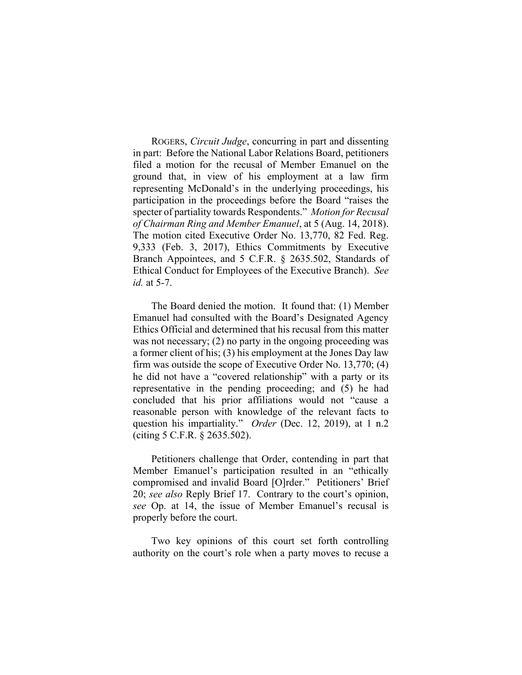ROGERS, *Circuit Judge*, concurring in part and dissenting in part: Before the National Labor Relations Board, petitioners filed a motion for the recusal of Member Emanuel on the ground that, in view of his employment at a law firm representing McDonald's in the underlying proceedings, his participation in the proceedings before the Board "raises the specter of partiality towards Respondents." *Motion for Recusal of Chairman Ring and Member Emanuel*, at 5 (Aug. 14, 2018). The motion cited Executive Order No. 13,770, 82 Fed. Reg. 9,333 (Feb. 3, 2017), Ethics Commitments by Executive Branch Appointees, and 5 C.F.R. § 2635.502, Standards of Ethical Conduct for Employees of the Executive Branch). *See id.* at 5-7.

The Board denied the motion. It found that: (1) Member Emanuel had consulted with the Board's Designated Agency Ethics Official and determined that his recusal from this matter was not necessary; (2) no party in the ongoing proceeding was a former client of his; (3) his employment at the Jones Day law firm was outside the scope of Executive Order No. 13,770; (4) he did not have a "covered relationship" with a party or its representative in the pending proceeding; and (5) he had concluded that his prior affiliations would not "cause a reasonable person with knowledge of the relevant facts to question his impartiality." *Order* (Dec. 12, 2019), at 1 n.2 (citing 5 C.F.R. § 2635.502).

Petitioners challenge that Order, contending in part that Member Emanuel's participation resulted in an "ethically compromised and invalid Board [O]rder." Petitioners' Brief 20; *see also* Reply Brief 17. Contrary to the court's opinion, *see* Op. at 14, the issue of Member Emanuel's recusal is properly before the court.

Two key opinions of this court set forth controlling authority on the court's role when a party moves to recuse a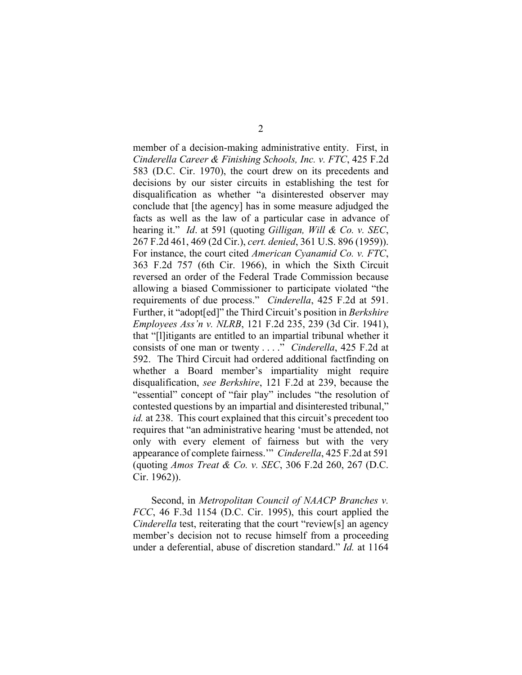member of a decision-making administrative entity. First, in *Cinderella Career & Finishing Schools, Inc. v. FTC*, 425 F.2d 583 (D.C. Cir. 1970), the court drew on its precedents and decisions by our sister circuits in establishing the test for disqualification as whether "a disinterested observer may conclude that [the agency] has in some measure adjudged the facts as well as the law of a particular case in advance of hearing it." *Id*. at 591 (quoting *Gilligan, Will & Co. v. SEC*, 267 F.2d 461, 469 (2d Cir.), *cert. denied*, 361 U.S. 896 (1959)). For instance, the court cited *American Cyanamid Co. v. FTC*, 363 F.2d 757 (6th Cir. 1966), in which the Sixth Circuit reversed an order of the Federal Trade Commission because allowing a biased Commissioner to participate violated "the requirements of due process." *Cinderella*, 425 F.2d at 591. Further, it "adopt[ed]" the Third Circuit's position in *Berkshire Employees Ass'n v. NLRB*, 121 F.2d 235, 239 (3d Cir. 1941), that "[l]itigants are entitled to an impartial tribunal whether it consists of one man or twenty . . . ." *Cinderella*, 425 F.2d at 592. The Third Circuit had ordered additional factfinding on whether a Board member's impartiality might require disqualification, *see Berkshire*, 121 F.2d at 239, because the "essential" concept of "fair play" includes "the resolution of contested questions by an impartial and disinterested tribunal," *id.* at 238. This court explained that this circuit's precedent too requires that "an administrative hearing 'must be attended, not only with every element of fairness but with the very appearance of complete fairness.'" *Cinderella*, 425 F.2d at 591 (quoting *Amos Treat & Co. v. SEC*, 306 F.2d 260, 267 (D.C. Cir. 1962)).

Second, in *Metropolitan Council of NAACP Branches v. FCC*, 46 F.3d 1154 (D.C. Cir. 1995), this court applied the *Cinderella* test, reiterating that the court "review[s] an agency member's decision not to recuse himself from a proceeding under a deferential, abuse of discretion standard." *Id.* at 1164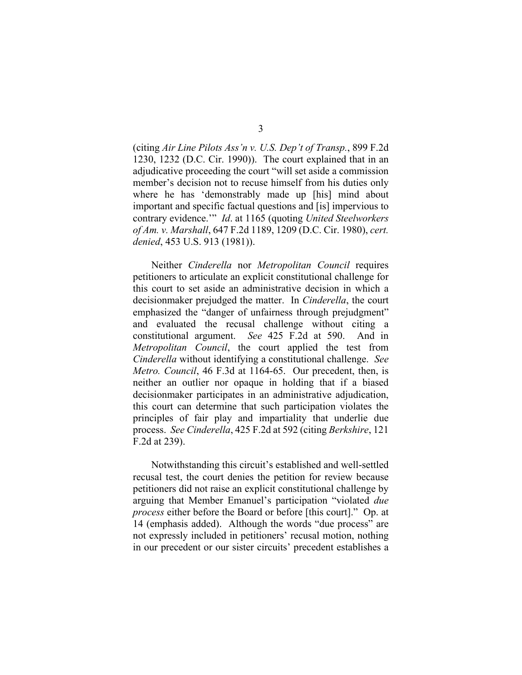(citing *Air Line Pilots Ass'n v. U.S. Dep't of Transp.*, 899 F.2d 1230, 1232 (D.C. Cir. 1990)). The court explained that in an adjudicative proceeding the court "will set aside a commission member's decision not to recuse himself from his duties only where he has 'demonstrably made up [his] mind about important and specific factual questions and [is] impervious to contrary evidence.'" *Id*. at 1165 (quoting *United Steelworkers of Am. v. Marshall*, 647 F.2d 1189, 1209 (D.C. Cir. 1980), *cert. denied*, 453 U.S. 913 (1981)).

Neither *Cinderella* nor *Metropolitan Council* requires petitioners to articulate an explicit constitutional challenge for this court to set aside an administrative decision in which a decisionmaker prejudged the matter. In *Cinderella*, the court emphasized the "danger of unfairness through prejudgment" and evaluated the recusal challenge without citing a constitutional argument. *See* 425 F.2d at 590. And in *Metropolitan Council*, the court applied the test from *Cinderella* without identifying a constitutional challenge. *See Metro. Council*, 46 F.3d at 1164-65. Our precedent, then, is neither an outlier nor opaque in holding that if a biased decisionmaker participates in an administrative adjudication, this court can determine that such participation violates the principles of fair play and impartiality that underlie due process. *See Cinderella*, 425 F.2d at 592 (citing *Berkshire*, 121 F.2d at 239).

Notwithstanding this circuit's established and well-settled recusal test, the court denies the petition for review because petitioners did not raise an explicit constitutional challenge by arguing that Member Emanuel's participation "violated *due process* either before the Board or before [this court]." Op. at 14 (emphasis added). Although the words "due process" are not expressly included in petitioners' recusal motion, nothing in our precedent or our sister circuits' precedent establishes a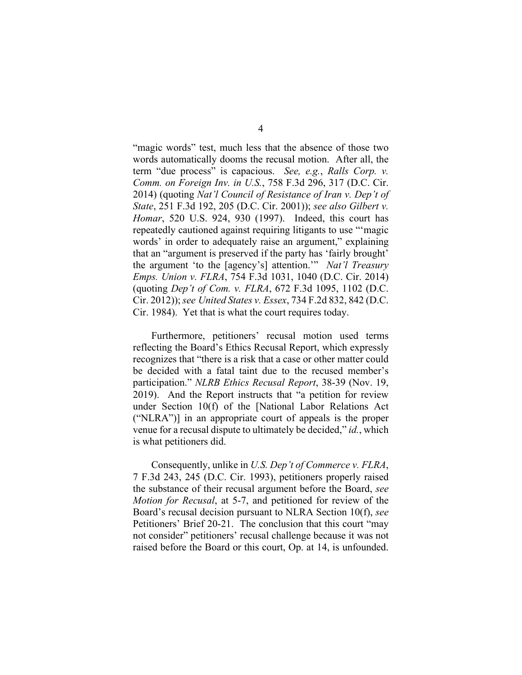"magic words" test, much less that the absence of those two words automatically dooms the recusal motion. After all, the term "due process" is capacious. *See, e.g.*, *Ralls Corp. v. Comm. on Foreign Inv. in U.S.*, 758 F.3d 296, 317 (D.C. Cir. 2014) (quoting *Nat'l Council of Resistance of Iran v. Dep't of State*, 251 F.3d 192, 205 (D.C. Cir. 2001)); *see also Gilbert v. Homar*, 520 U.S. 924, 930 (1997). Indeed, this court has repeatedly cautioned against requiring litigants to use "'magic words' in order to adequately raise an argument," explaining that an "argument is preserved if the party has 'fairly brought' the argument 'to the [agency's] attention.'" *Nat'l Treasury Emps. Union v. FLRA*, 754 F.3d 1031, 1040 (D.C. Cir. 2014) (quoting *Dep't of Com. v. FLRA*, 672 F.3d 1095, 1102 (D.C. Cir. 2012)); *see United States v. Essex*, 734 F.2d 832, 842 (D.C. Cir. 1984). Yet that is what the court requires today.

Furthermore, petitioners' recusal motion used terms reflecting the Board's Ethics Recusal Report, which expressly recognizes that "there is a risk that a case or other matter could be decided with a fatal taint due to the recused member's participation." *NLRB Ethics Recusal Report*, 38-39 (Nov. 19, 2019). And the Report instructs that "a petition for review under Section 10(f) of the [National Labor Relations Act ("NLRA")] in an appropriate court of appeals is the proper venue for a recusal dispute to ultimately be decided," *id.*, which is what petitioners did.

Consequently, unlike in *U.S. Dep't of Commerce v. FLRA*, 7 F.3d 243, 245 (D.C. Cir. 1993), petitioners properly raised the substance of their recusal argument before the Board, *see Motion for Recusal*, at 5-7, and petitioned for review of the Board's recusal decision pursuant to NLRA Section 10(f), *see*  Petitioners' Brief 20-21. The conclusion that this court "may not consider" petitioners' recusal challenge because it was not raised before the Board or this court, Op. at 14, is unfounded.